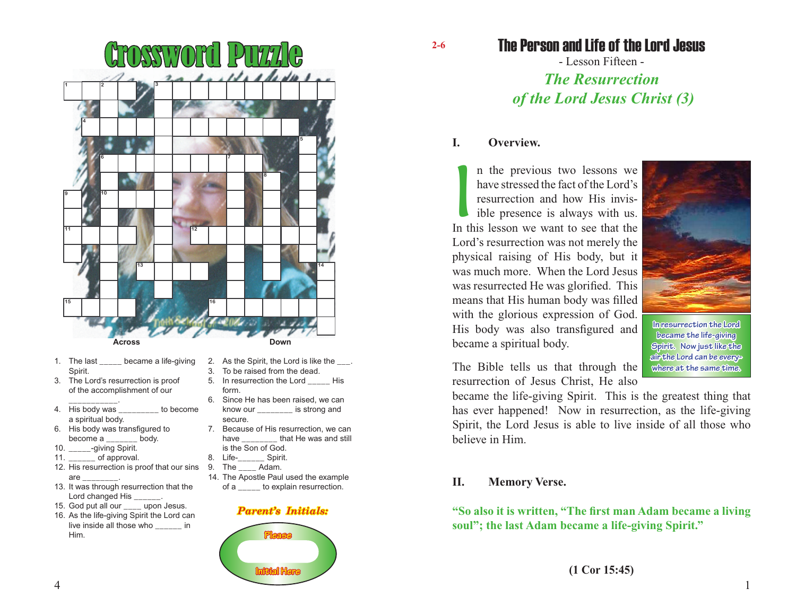

- 1. The last \_\_\_\_\_ became a life-giving Spirit.
- 3. The Lord's resurrection is proof of the accomplishment of our
- \_\_\_\_\_\_\_\_\_\_\_. 4. His body was \_\_\_\_\_\_\_\_\_ to become a spiritual body.
- 6. His body was transfigured to become a body.
- 10. qiving Spirit.
- 11.  $\frac{1}{2}$  of approval.
- 12. His resurrection is proof that our sins are
- 13. It was through resurrection that the Lord changed His \_\_\_
- 15. God put all our \_\_\_\_ upon Jesus.
- 16. As the life-giving Spirit the Lord can live inside all those who \_\_\_\_\_\_ in Him.
- 2. As the Spirit, the Lord is like the \_\_\_. 3. To be raised from the dead.
- 5. In resurrection the Lord His form.
- 6. Since He has been raised, we can know our \_\_\_\_\_\_\_\_ is strong and secure.
- 7. Because of His resurrection, we can have that He was and still is the Son of God.<br>Life-Spirit.
- 8. Life-
- 9. The Adam.
- 14. The Apostle Paul used the example of a \_\_\_\_\_ to explain resurrection.

#### *Parent's Initials:*



The Person and Life of the Lord Jesus

- Lesson Fifteen - *The Resurrection of the Lord Jesus Christ (3)*

### **I. Overview.**

**2-6**

In the previous two lessons we have stressed the fact of the Lord's resurrection and how His invisible presence is always with us.<br>In this lesson we want to see that the n the previous two lessons we have stressed the fact of the Lord's resurrection and how His invisible presence is always with us. Lord's resurrection was not merely the physical raising of His body, but it was much more. When the Lord Jesus was resurrected He was glorified. This means that His human body was filled with the glorious expression of God. His body was also transfigured and became a spiritual body.



**became the life-giving Spirit. Now just like the air the Lord can be everywhere at the same time.**

The Bible tells us that through the resurrection of Jesus Christ, He also

became the life-giving Spirit. This is the greatest thing that has ever happened! Now in resurrection, as the life-giving Spirit, the Lord Jesus is able to live inside of all those who believe in Him.

#### **II. Memory Verse.**

**"So also it is written, "The first man Adam became a living soul"; the last Adam became a life-giving Spirit."**